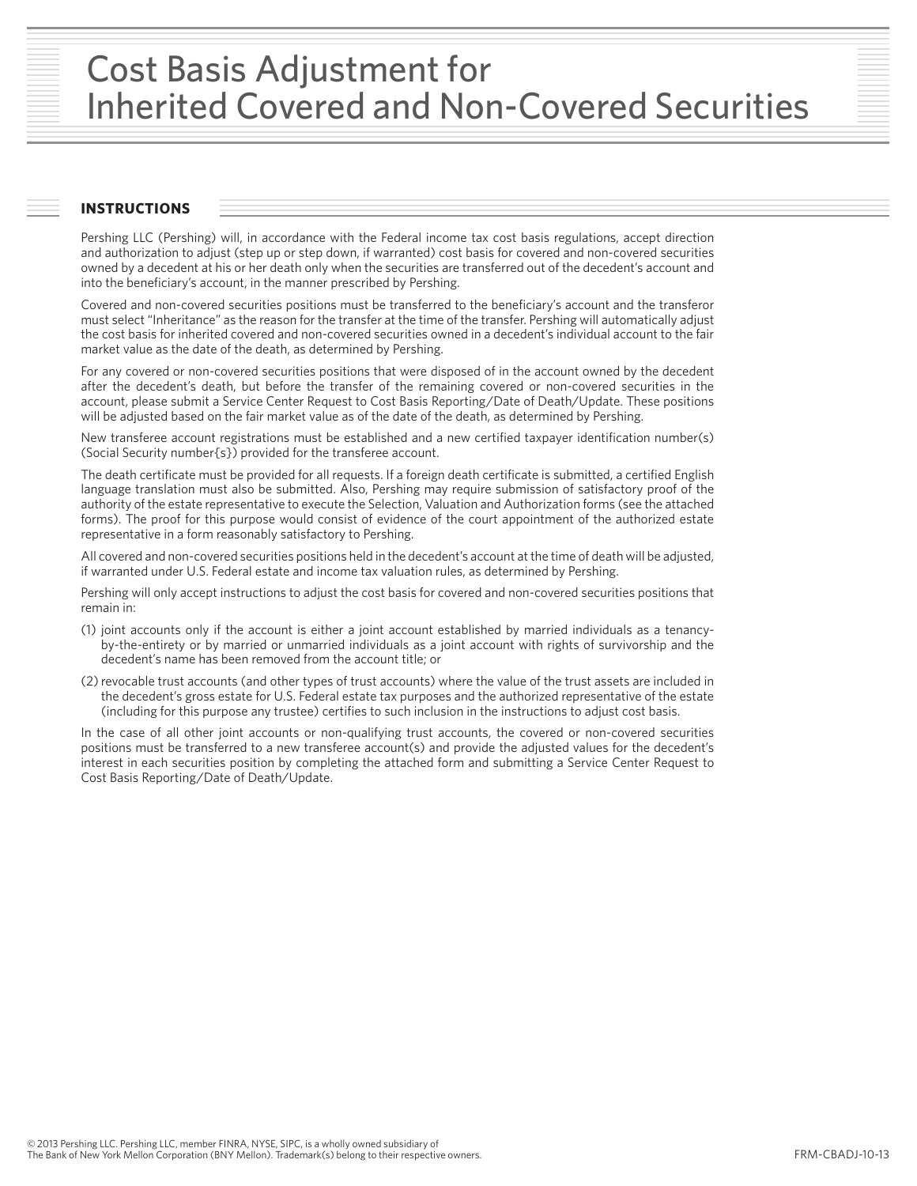# Cost Basis Adjustment for Inherited Covered and Non-Covered Securities

## **INSTRUCTIONS**

Pershing LLC (Pershing) will, in accordance with the Federal income tax cost basis regulations, accept direction and authorization to adjust (step up or step down, if warranted) cost basis for covered and non-covered securities owned by a decedent at his or her death only when the securities are transferred out of the decedent's account and into the beneficiary's account, in the manner prescribed by Pershing.

Covered and non-covered securities positions must be transferred to the beneficiary's account and the transferor must select "Inheritance" as the reason for the transfer at the time of the transfer. Pershing will automatically adjust the cost basis for inherited covered and non-covered securities owned in a decedent's individual account to the fair market value as the date of the death, as determined by Pershing.

For any covered or non-covered securities positions that were disposed of in the account owned by the decedent after the decedent's death, but before the transfer of the remaining covered or non-covered securities in the account, please submit a Service Center Request to Cost Basis Reporting/Date of Death/Update. These positions will be adjusted based on the fair market value as of the date of the death, as determined by Pershing.

New transferee account registrations must be established and a new certified taxpayer identification number(s) (Social Security number{s}) provided for the transferee account.

The death certificate must be provided for all requests. If a foreign death certificate is submitted, a certified English language translation must also be submitted. Also, Pershing may require submission of satisfactory proof of the authority of the estate representative to execute the Selection, Valuation and Authorization forms (see the attached forms). The proof for this purpose would consist of evidence of the court appointment of the authorized estate representative in a form reasonably satisfactory to Pershing.

All covered and non-covered securities positions held in the decedent's account at the time of death will be adjusted, if warranted under U.S. Federal estate and income tax valuation rules, as determined by Pershing.

Pershing will only accept instructions to adjust the cost basis for covered and non-covered securities positions that remain in:

- (1) joint accounts only if the account is either a joint account established by married individuals as a tenancyby-the-entirety or by married or unmarried individuals as a joint account with rights of survivorship and the decedent's name has been removed from the account title; or
- (2)revocable trust accounts (and other types of trust accounts) where the value of the trust assets are included in the decedent's gross estate for U.S. Federal estate tax purposes and the authorized representative of the estate (including for this purpose any trustee) certifies to such inclusion in the instructions to adjust cost basis.

In the case of all other joint accounts or non-qualifying trust accounts, the covered or non-covered securities positions must be transferred to a new transferee account(s) and provide the adjusted values for the decedent's interest in each securities position by completing the attached form and submitting a Service Center Request to Cost Basis Reporting/Date of Death/Update.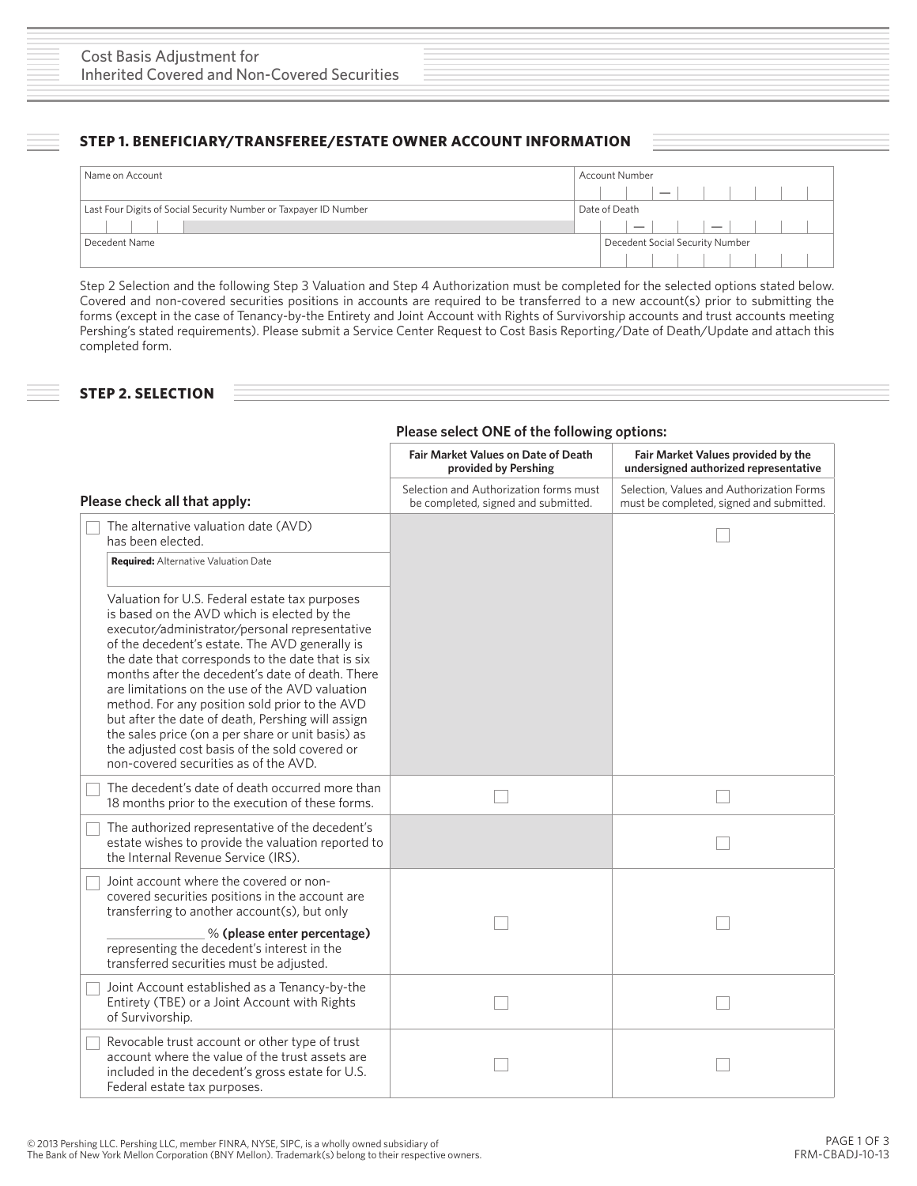# **STEP 1. BENEFICIARY/TRANSFEREE/ESTATE OWNER ACCOUNT INFORMATION**

| Name on Account                                                  | <b>Account Number</b>                                                                        |  |
|------------------------------------------------------------------|----------------------------------------------------------------------------------------------|--|
|                                                                  |                                                                                              |  |
| Last Four Digits of Social Security Number or Taxpayer ID Number | Date of Death                                                                                |  |
|                                                                  | <b>Contract Contract</b><br>$\sim$ 1<br>$\overline{\phantom{0}}$<br><b>Contract Contract</b> |  |
| Decedent Name                                                    | Decedent Social Security Number                                                              |  |
|                                                                  |                                                                                              |  |

Step 2 Selection and the following Step 3 Valuation and Step 4 Authorization must be completed for the selected options stated below. Covered and non-covered securities positions in accounts are required to be transferred to a new account(s) prior to submitting the forms (except in the case of Tenancy-by-the Entirety and Joint Account with Rights of Survivorship accounts and trust accounts meeting Pershing's stated requirements). Please submit a Service Center Request to Cost Basis Reporting/Date of Death/Update and attach this completed form.

# **STEP 2. SELECTION**

### **Please select ONE of the following options:**

|                                                                                                                                                                                                                                                                                                                                                                                                                                                                                                                                                                                                                      | <b>Fair Market Values on Date of Death</b><br>provided by Pershing            | Fair Market Values provided by the<br>undersigned authorized representative           |
|----------------------------------------------------------------------------------------------------------------------------------------------------------------------------------------------------------------------------------------------------------------------------------------------------------------------------------------------------------------------------------------------------------------------------------------------------------------------------------------------------------------------------------------------------------------------------------------------------------------------|-------------------------------------------------------------------------------|---------------------------------------------------------------------------------------|
| Please check all that apply:                                                                                                                                                                                                                                                                                                                                                                                                                                                                                                                                                                                         | Selection and Authorization forms must<br>be completed, signed and submitted. | Selection, Values and Authorization Forms<br>must be completed, signed and submitted. |
| The alternative valuation date (AVD)<br>has been elected.                                                                                                                                                                                                                                                                                                                                                                                                                                                                                                                                                            |                                                                               |                                                                                       |
| <b>Required:</b> Alternative Valuation Date                                                                                                                                                                                                                                                                                                                                                                                                                                                                                                                                                                          |                                                                               |                                                                                       |
| Valuation for U.S. Federal estate tax purposes<br>is based on the AVD which is elected by the<br>executor/administrator/personal representative<br>of the decedent's estate. The AVD generally is<br>the date that corresponds to the date that is six<br>months after the decedent's date of death. There<br>are limitations on the use of the AVD valuation<br>method. For any position sold prior to the AVD<br>but after the date of death, Pershing will assign<br>the sales price (on a per share or unit basis) as<br>the adjusted cost basis of the sold covered or<br>non-covered securities as of the AVD. |                                                                               |                                                                                       |
| The decedent's date of death occurred more than<br>18 months prior to the execution of these forms.                                                                                                                                                                                                                                                                                                                                                                                                                                                                                                                  |                                                                               |                                                                                       |
| The authorized representative of the decedent's<br>estate wishes to provide the valuation reported to<br>the Internal Revenue Service (IRS).                                                                                                                                                                                                                                                                                                                                                                                                                                                                         |                                                                               |                                                                                       |
| Joint account where the covered or non-<br>covered securities positions in the account are<br>transferring to another account(s), but only                                                                                                                                                                                                                                                                                                                                                                                                                                                                           |                                                                               |                                                                                       |
| % (please enter percentage)<br>representing the decedent's interest in the<br>transferred securities must be adjusted.                                                                                                                                                                                                                                                                                                                                                                                                                                                                                               |                                                                               |                                                                                       |
| Joint Account established as a Tenancy-by-the<br>Entirety (TBE) or a Joint Account with Rights<br>of Survivorship.                                                                                                                                                                                                                                                                                                                                                                                                                                                                                                   |                                                                               |                                                                                       |
| Revocable trust account or other type of trust<br>account where the value of the trust assets are<br>included in the decedent's gross estate for U.S.<br>Federal estate tax purposes.                                                                                                                                                                                                                                                                                                                                                                                                                                |                                                                               |                                                                                       |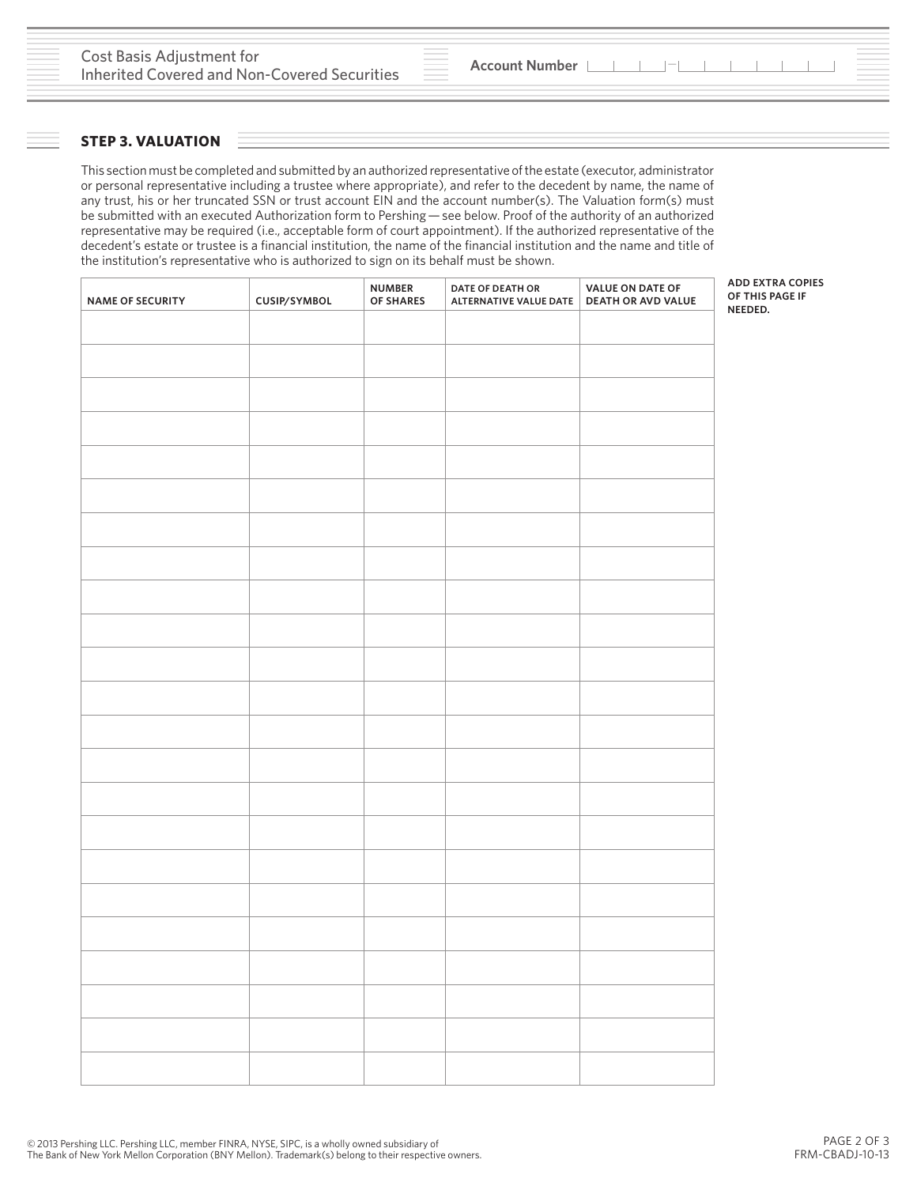#### **STEP 3. VALUATION**

This section must be completed and submitted by an authorized representative of the estate (executor, administrator or personal representative including a trustee where appropriate), and refer to the decedent by name, the name of any trust, his or her truncated SSN or trust account EIN and the account number(s). The Valuation form(s) must be submitted with an executed Authorization form to Pershing — see below. Proof of the authority of an authorized representative may be required (i.e., acceptable form of court appointment). If the authorized representative of the decedent's estate or trustee is a financial institution, the name of the financial institution and the name and title of the institution's representative who is authorized to sign on its behalf must be shown.

| <b>NAME OF SECURITY</b> | CUSIP/SYMBOL | <b>NUMBER</b><br>OF SHARES | DATE OF DEATH OR<br>ALTERNATIVE VALUE DATE   DEATH OR AVD VALUE | VALUE ON DATE OF | <b>ADD EXTRA COPIES</b><br>OF THIS PAGE IF |
|-------------------------|--------------|----------------------------|-----------------------------------------------------------------|------------------|--------------------------------------------|
|                         |              |                            |                                                                 |                  | NEEDED.                                    |
|                         |              |                            |                                                                 |                  |                                            |
|                         |              |                            |                                                                 |                  |                                            |
|                         |              |                            |                                                                 |                  |                                            |
|                         |              |                            |                                                                 |                  |                                            |
|                         |              |                            |                                                                 |                  |                                            |
|                         |              |                            |                                                                 |                  |                                            |
|                         |              |                            |                                                                 |                  |                                            |
|                         |              |                            |                                                                 |                  |                                            |
|                         |              |                            |                                                                 |                  |                                            |
|                         |              |                            |                                                                 |                  |                                            |
|                         |              |                            |                                                                 |                  |                                            |
|                         |              |                            |                                                                 |                  |                                            |
|                         |              |                            |                                                                 |                  |                                            |
|                         |              |                            |                                                                 |                  |                                            |
|                         |              |                            |                                                                 |                  |                                            |
|                         |              |                            |                                                                 |                  |                                            |
|                         |              |                            |                                                                 |                  |                                            |
|                         |              |                            |                                                                 |                  |                                            |
|                         |              |                            |                                                                 |                  |                                            |
|                         |              |                            |                                                                 |                  |                                            |
|                         |              |                            |                                                                 |                  |                                            |
|                         |              |                            |                                                                 |                  |                                            |
|                         |              |                            |                                                                 |                  |                                            |

© 2013 Pershing LLC. Pershing LLC, member FINRA, NYSE, SIPC, is a wholly owned subsidiary of The Bank of New York Mellon Corporation (BNY Mellon). Trademark(s) belong to their respective owners.